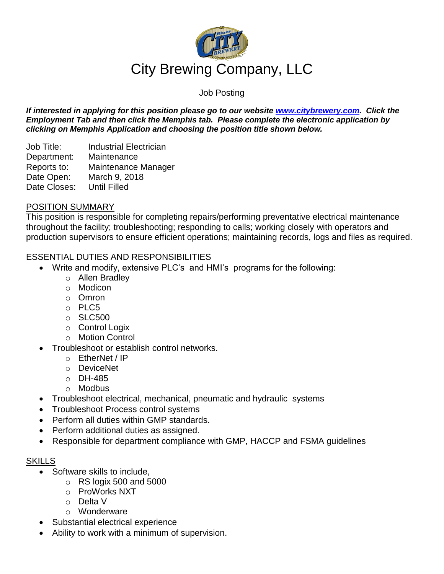

# Job Posting

*If interested in applying for this position please go to our website [www.citybrewery.com.](http://www.citybrewery.com/) Click the Employment Tab and then click the Memphis tab. Please complete the electronic application by clicking on Memphis Application and choosing the position title shown below.*

Job Title: Industrial Electrician Department: Maintenance Reports to: Maintenance Manager Date Open: March 9, 2018 Date Closes: Until Filled

## POSITION SUMMARY

This position is responsible for completing repairs/performing preventative electrical maintenance throughout the facility; troubleshooting; responding to calls; working closely with operators and production supervisors to ensure efficient operations; maintaining records, logs and files as required.

### ESSENTIAL DUTIES AND RESPONSIBILITIES

- Write and modify, extensive PLC's and HMI's programs for the following:
	- o Allen Bradley
	- o Modicon
	- o Omron
	- o PLC5
	- o SLC500
	- o Control Logix
	- o Motion Control
- Troubleshoot or establish control networks.
	- o EtherNet / IP
	- o DeviceNet
	- o DH-485
	- o Modbus
- Troubleshoot electrical, mechanical, pneumatic and hydraulic systems
- Troubleshoot Process control systems
- Perform all duties within GMP standards.
- Perform additional duties as assigned.
- Responsible for department compliance with GMP, HACCP and FSMA guidelines

#### SKILLS

- Software skills to include.
	- $\circ$  RS logix 500 and 5000
	- o ProWorks NXT
	- o Delta V
	- o Wonderware
- Substantial electrical experience
- Ability to work with a minimum of supervision.